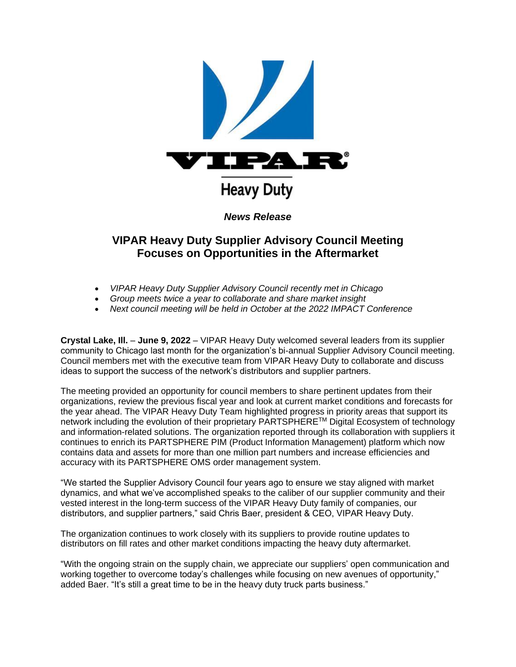

# **VIPAR Heavy Duty Supplier Advisory Council Meeting Focuses on Opportunities in the Aftermarket**

- *VIPAR Heavy Duty Supplier Advisory Council recently met in Chicago*
- *Group meets twice a year to collaborate and share market insight*
- *Next council meeting will be held in October at the 2022 IMPACT Conference*

**Crystal Lake, Ill.** – **June 9, 2022** – VIPAR Heavy Duty welcomed several leaders from its supplier community to Chicago last month for the organization's bi-annual Supplier Advisory Council meeting. Council members met with the executive team from VIPAR Heavy Duty to collaborate and discuss ideas to support the success of the network's distributors and supplier partners.

The meeting provided an opportunity for council members to share pertinent updates from their organizations, review the previous fiscal year and look at current market conditions and forecasts for the year ahead. The VIPAR Heavy Duty Team highlighted progress in priority areas that support its network including the evolution of their proprietary PARTSPHERETM Digital Ecosystem of technology and information-related solutions. The organization reported through its collaboration with suppliers it continues to enrich its PARTSPHERE PIM (Product Information Management) platform which now contains data and assets for more than one million part numbers and increase efficiencies and accuracy with its PARTSPHERE OMS order management system.

"We started the Supplier Advisory Council four years ago to ensure we stay aligned with market dynamics, and what we've accomplished speaks to the caliber of our supplier community and their vested interest in the long-term success of the VIPAR Heavy Duty family of companies, our distributors, and supplier partners," said Chris Baer, president & CEO, VIPAR Heavy Duty.

The organization continues to work closely with its suppliers to provide routine updates to distributors on fill rates and other market conditions impacting the heavy duty aftermarket.

"With the ongoing strain on the supply chain, we appreciate our suppliers' open communication and working together to overcome today's challenges while focusing on new avenues of opportunity," added Baer. "It's still a great time to be in the heavy duty truck parts business."